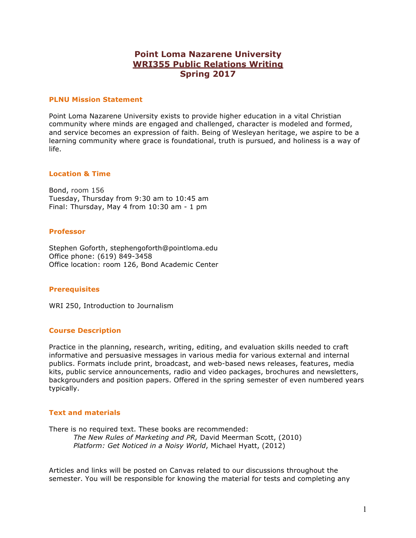# **Point Loma Nazarene University WRI355 Public Relations Writing Spring 2017**

## **PLNU Mission Statement**

Point Loma Nazarene University exists to provide higher education in a vital Christian community where minds are engaged and challenged, character is modeled and formed, and service becomes an expression of faith. Being of Wesleyan heritage, we aspire to be a learning community where grace is foundational, truth is pursued, and holiness is a way of life.

## **Location & Time**

Bond, room 156 Tuesday, Thursday from 9:30 am to 10:45 am Final: Thursday, May 4 from 10:30 am - 1 pm

## **Professor**

Stephen Goforth, stephengoforth@pointloma.edu Office phone: (619) 849-3458 Office location: room 126, Bond Academic Center

## **Prerequisites**

WRI 250, Introduction to Journalism

## **Course Description**

Practice in the planning, research, writing, editing, and evaluation skills needed to craft informative and persuasive messages in various media for various external and internal publics. Formats include print, broadcast, and web-based news releases, features, media kits, public service announcements, radio and video packages, brochures and newsletters, backgrounders and position papers. Offered in the spring semester of even numbered years typically.

#### **Text and materials**

There is no required text. These books are recommended: *The New Rules of Marketing and PR,* David Meerman Scott, (2010) *Platform: Get Noticed in a Noisy World*, Michael Hyatt, (2012)

Articles and links will be posted on Canvas related to our discussions throughout the semester. You will be responsible for knowing the material for tests and completing any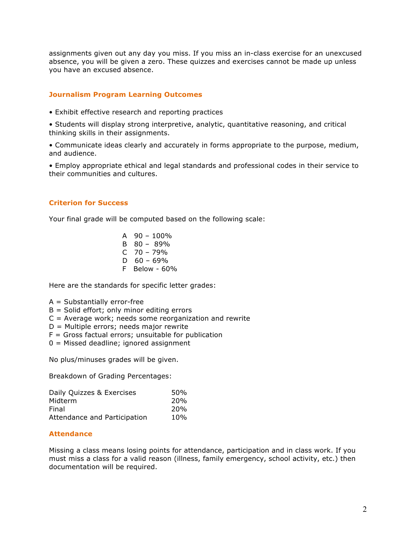assignments given out any day you miss. If you miss an in-class exercise for an unexcused absence, you will be given a zero. These quizzes and exercises cannot be made up unless you have an excused absence.

# **Journalism Program Learning Outcomes**

- Exhibit effective research and reporting practices
- Students will display strong interpretive, analytic, quantitative reasoning, and critical thinking skills in their assignments.
- Communicate ideas clearly and accurately in forms appropriate to the purpose, medium, and audience.
- Employ appropriate ethical and legal standards and professional codes in their service to their communities and cultures.

## **Criterion for Success**

Your final grade will be computed based on the following scale:

A 90 – 100% B 80 – 89% C 70 – 79%  $D$  60 – 69% F Below - 60%

Here are the standards for specific letter grades:

- $A = Substantially error-free$
- $B =$  Solid effort; only minor editing errors
- $C =$  Average work; needs some reorganization and rewrite
- D = Multiple errors; needs major rewrite
- $F =$  Gross factual errors; unsuitable for publication
- 0 = Missed deadline; ignored assignment

No plus/minuses grades will be given.

Breakdown of Grading Percentages:

| Daily Quizzes & Exercises    | 50%             |
|------------------------------|-----------------|
| Midterm                      | 20 <sub>%</sub> |
| Final                        | 20 <sub>%</sub> |
| Attendance and Participation | 10%             |

# **Attendance**

Missing a class means losing points for attendance, participation and in class work. If you must miss a class for a valid reason (illness, family emergency, school activity, etc.) then documentation will be required.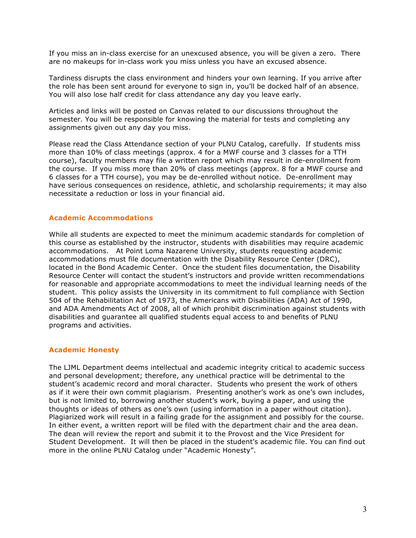If you miss an in-class exercise for an unexcused absence, you will be given a zero. There are no makeups for in-class work you miss unless you have an excused absence.

Tardiness disrupts the class environment and hinders your own learning. If you arrive after the role has been sent around for everyone to sign in, you'll be docked half of an absence. You will also lose half credit for class attendance any day you leave early.

Articles and links will be posted on Canvas related to our discussions throughout the semester. You will be responsible for knowing the material for tests and completing any assignments given out any day you miss.

Please read the Class Attendance section of your PLNU Catalog, carefully. If students miss more than 10% of class meetings (approx. 4 for a MWF course and 3 classes for a TTH course), faculty members may file a written report which may result in de-enrollment from the course. If you miss more than 20% of class meetings (approx. 8 for a MWF course and 6 classes for a TTH course), you may be de-enrolled without notice. De-enrollment may have serious consequences on residence, athletic, and scholarship requirements; it may also necessitate a reduction or loss in your financial aid.

# **Academic Accommodations**

While all students are expected to meet the minimum academic standards for completion of this course as established by the instructor, students with disabilities may require academic accommodations. At Point Loma Nazarene University, students requesting academic accommodations must file documentation with the Disability Resource Center (DRC), located in the Bond Academic Center. Once the student files documentation, the Disability Resource Center will contact the student's instructors and provide written recommendations for reasonable and appropriate accommodations to meet the individual learning needs of the student. This policy assists the University in its commitment to full compliance with Section 504 of the Rehabilitation Act of 1973, the Americans with Disabilities (ADA) Act of 1990, and ADA Amendments Act of 2008, all of which prohibit discrimination against students with disabilities and guarantee all qualified students equal access to and benefits of PLNU programs and activities.

## **Academic Honesty**

The LJML Department deems intellectual and academic integrity critical to academic success and personal development; therefore, any unethical practice will be detrimental to the student's academic record and moral character. Students who present the work of others as if it were their own commit plagiarism. Presenting another's work as one's own includes, but is not limited to, borrowing another student's work, buying a paper, and using the thoughts or ideas of others as one's own (using information in a paper without citation). Plagiarized work will result in a failing grade for the assignment and possibly for the course. In either event, a written report will be filed with the department chair and the area dean. The dean will review the report and submit it to the Provost and the Vice President for Student Development. It will then be placed in the student's academic file. You can find out more in the online PLNU Catalog under "Academic Honesty".